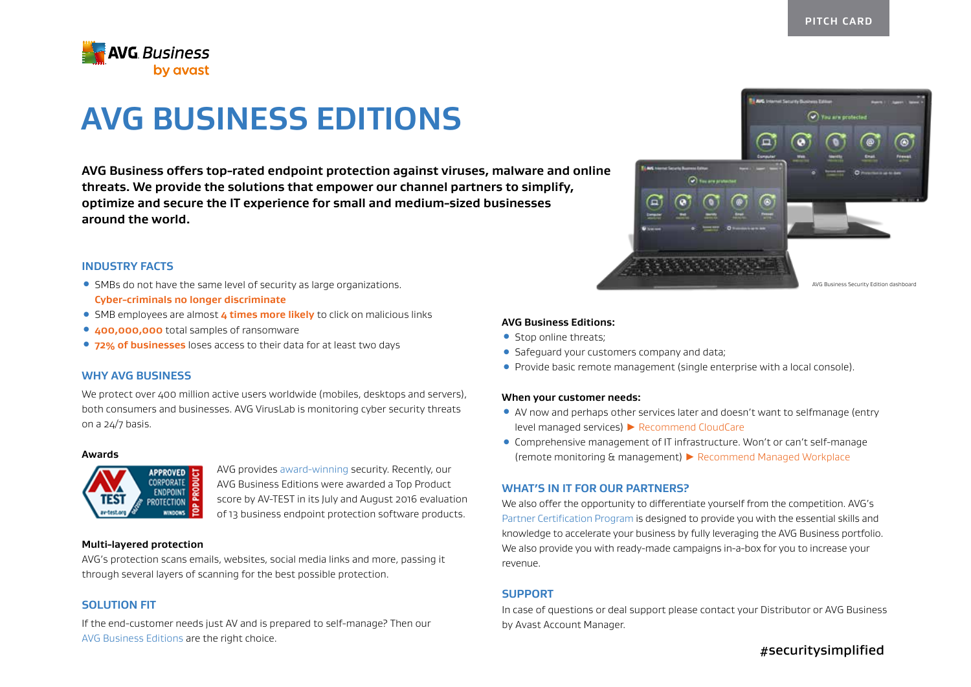

# **AVG BUSINESS EDITIONS**

**AVG Business offers top-rated endpoint protection against viruses, malware and online threats. We provide the solutions that empower our channel partners to simplify, optimize and secure the IT experience for small and medium-sized businesses around the world.**

## **INDUSTRY FACTS**

- ƽ SMBs do not have the same level of security as large organizations. **Cyber-criminals no longer discriminate**
- **SMB employees are almost 4 times more likely** to click on malicious links
- ƽ **400,000,000** total samples of ransomware
- **. 72% of businesses** loses access to their data for at least two days

## **WHY AVG BUSINESS**

We protect over 400 million active users worldwide (mobiles, desktops and servers), both consumers and businesses. AVG VirusLab is monitoring cyber security threats on a 24/7 basis.

#### **Awards**



AVG provides award-winning security. Recently, our AVG Business Editions were awarded a Top Product score by AV-TEST in its July and August 2016 evaluation of 13 business endpoint protection software products.

#### **Multi-layered protection**

AVG's protection scans emails, websites, social media links and more, passing it through several layers of scanning for the best possible protection.

# **SOLUTION FIT**

If the end-customer needs just AV and is prepared to self-manage? Then our AVG Business Editions are the right choice.



# **AVG Business Editions:**

- Stop online threats:
- ƽ Safeguard your customers company and data;
- ƽ Provide basic remote management (single enterprise with a local console).

## **When your customer needs:**

- ƽ AV now and perhaps other services later and doesn't want to selfmanage (entry level managed services) ▶ Recommend CloudCare
- ƽ Comprehensive management of IT infrastructure. Won't or can't self-manage (remote monitoring & management) ▶ Recommend Managed Workplace

## **WHAT'S IN IT FOR OUR PARTNERS?**

We also offer the opportunity to differentiate yourself from the competition. AVG's Partner Certification Program is designed to provide you with the essential skills and knowledge to accelerate your business by fully leveraging the AVG Business portfolio. We also provide you with ready-made campaigns in-a-box for you to increase your revenue.

## **SUPPORT**

In case of questions or deal support please contact your Distributor or AVG Business by Avast Account Manager.